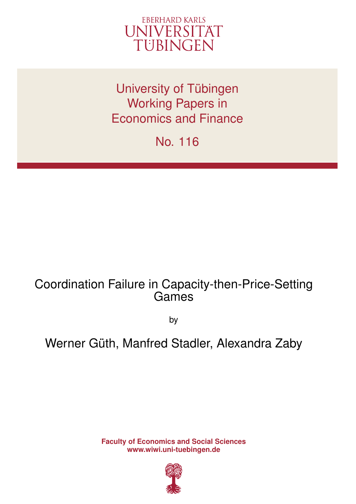

University of Tübingen Working Papers in Economics and Finance

No. 116

# Coordination Failure in Capacity-then-Price-Setting Games

by

# Werner Güth, Manfred Stadler, Alexandra Zaby

**Faculty of Economics and Social Sciences www.wiwi.uni-tuebingen.de**

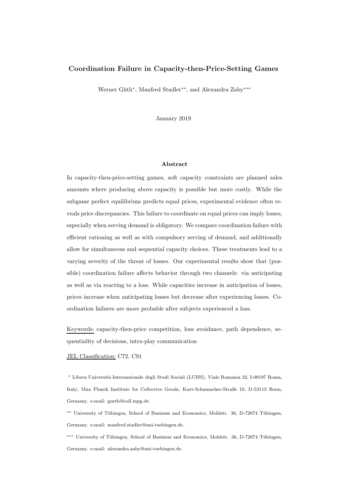# Coordination Failure in Capacity-then-Price-Setting Games

Werner Güth<sup>\*</sup>, Manfred Stadler<sup>\*\*</sup>, and Alexandra Zaby<sup>\*\*\*</sup>

January 2019

#### Abstract

In capacity-then-price-setting games, soft capacity constraints are planned sales amounts where producing above capacity is possible but more costly. While the subgame perfect equilibrium predicts equal prices, experimental evidence often reveals price discrepancies. This failure to coordinate on equal prices can imply losses, especially when serving demand is obligatory. We compare coordination failure with efficient rationing as well as with compulsory serving of demand, and additionally allow for simultaneous and sequential capacity choices. These treatments lead to a varying severity of the threat of losses. Our experimental results show that (possible) coordination failure affects behavior through two channels: via anticipating as well as via reacting to a loss. While capacities increase in anticipation of losses, prices increase when anticipating losses but decrease after experiencing losses. Coordination failures are more probable after subjects experienced a loss.

Keywords: capacity-then-price competition, loss avoidance, path dependence, sequentiality of decisions, intra-play communication

## JEL Classification: C72, C91

<sup>∗</sup> Libera Universit`a Internazionale degli Studi Sociali (LUISS), Viale Romania 32, I-00197 Roma, Italy; Max Planck Institute for Collective Goods, Kurt-Schumacher-Straße 10, D-53113 Bonn, Germany. e-mail: gueth@coll.mpg.de.

\*\* University of Tübingen, School of Business and Economics, Mohlstr. 36, D-72074 Tübingen, Germany. e-mail: manfred.stadler@uni-tuebingen.de.

<sup>\*\*\*</sup> University of Tübingen, School of Business and Economics, Mohlstr. 36, D-72074 Tübingen, Germany. e-mail: alexandra.zaby@uni-tuebingen.de.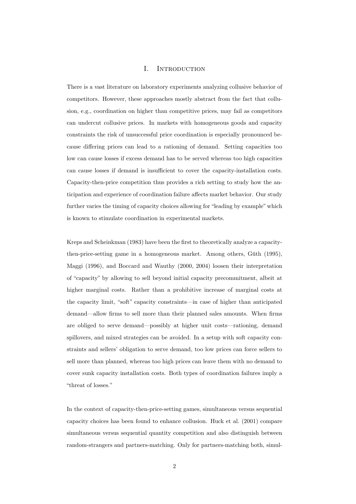# I. Introduction

There is a vast literature on laboratory experiments analyzing collusive behavior of competitors. However, these approaches mostly abstract from the fact that collusion, e.g., coordination on higher than competitive prices, may fail as competitors can undercut collusive prices. In markets with homogeneous goods and capacity constraints the risk of unsuccessful price coordination is especially pronounced because differing prices can lead to a rationing of demand. Setting capacities too low can cause losses if excess demand has to be served whereas too high capacities can cause losses if demand is insufficient to cover the capacity-installation costs. Capacity-then-price competition thus provides a rich setting to study how the anticipation and experience of coordination failure affects market behavior. Our study further varies the timing of capacity choices allowing for "leading by example" which is known to stimulate coordination in experimental markets.

Kreps and Scheinkman (1983) have been the first to theoretically analyze a capacitythen-price-setting game in a homogeneous market. Among others, Güth  $(1995)$ , Maggi (1996), and Boccard and Wauthy (2000, 2004) loosen their interpretation of "capacity" by allowing to sell beyond initial capacity precommitment, albeit at higher marginal costs. Rather than a prohibitive increase of marginal costs at the capacity limit, "soft" capacity constraints—in case of higher than anticipated demand—allow firms to sell more than their planned sales amounts. When firms are obliged to serve demand—possibly at higher unit costs—rationing, demand spillovers, and mixed strategies can be avoided. In a setup with soft capacity constraints and sellers' obligation to serve demand, too low prices can force sellers to sell more than planned, whereas too high prices can leave them with no demand to cover sunk capacity installation costs. Both types of coordination failures imply a "threat of losses."

In the context of capacity-then-price-setting games, simultaneous versus sequential capacity choices has been found to enhance collusion. Huck et al. (2001) compare simultaneous versus sequential quantity competition and also distinguish between random-strangers and partners-matching. Only for partners-matching both, simul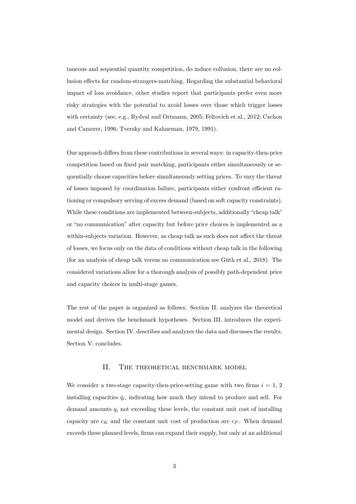taneous and sequential quantity competition, do induce collusion, there are no collusion effects for random-strangers-matching. Regarding the substantial behavioral impact of loss avoidance, other studies report that participants prefer even more risky strategies with the potential to avoid losses over those which trigger losses with certainty (see, e.g., Rydval and Ortmann, 2005; Feltovich et al., 2012; Cachon and Camerer, 1996; Tversky and Kahneman, 1979, 1991).

Our approach differs from these contributions in several ways: in capacity-then-price competition based on fixed pair matching, participants either simultaneously or sequentially choose capacities before simultaneously setting prices. To vary the threat of losses imposed by coordination failure, participants either confront efficient rationing or compulsory serving of excess demand (based on soft capacity constraints). While these conditions are implemented between-subjects, additionally "cheap talk" or "no communication" after capacity but before price choices is implemented as a within-subjects variation. However, as cheap talk as such does not affect the threat of losses, we focus only on the data of conditions without cheap talk in the following (for an analysis of cheap talk versus no communication see Güth et al.,  $2018$ ). The considered variations allow for a thorough analysis of possibly path-dependent price and capacity choices in multi-stage games.

The rest of the paper is organized as follows. Section II. analyzes the theoretical model and derives the benchmark hypotheses. Section III. introduces the experimental design. Section IV. describes and analyzes the data and discusses the results. Section V. concludes.

# II. THE THEORETICAL BENCHMARK MODEL

We consider a two-stage capacity-then-price-setting game with two firms  $i = 1, 2$ installing capacities  $\bar{q}_i$ , indicating how much they intend to produce and sell. For demand amounts  $q_i$  not exceeding these levels, the constant unit cost of installing capacity are  $c_K$  and the constant unit cost of production are  $c_P$ . When demand exceeds these planned levels, firms can expand their supply, but only at an additional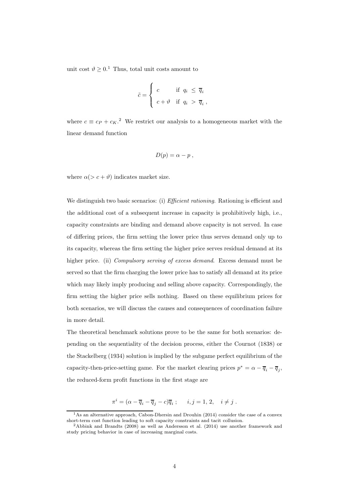unit cost  $\vartheta \geq 0.1$  Thus, total unit costs amount to

$$
\tilde{c} = \begin{cases}\nc & \text{if } q_i \leq \overline{q}_i \\
c + \vartheta & \text{if } q_i > \overline{q}_i\n\end{cases}
$$

where  $c \equiv c_P + c_K$ <sup>2</sup> We restrict our analysis to a homogeneous market with the linear demand function

$$
D(p) = \alpha - p \ ,
$$

where  $\alpha(> c + \vartheta)$  indicates market size.

We distinguish two basic scenarios: (i) *Efficient rationing*. Rationing is efficient and the additional cost of a subsequent increase in capacity is prohibitively high, i.e., capacity constraints are binding and demand above capacity is not served. In case of differing prices, the firm setting the lower price thus serves demand only up to its capacity, whereas the firm setting the higher price serves residual demand at its higher price. (ii) Compulsory serving of excess demand. Excess demand must be served so that the firm charging the lower price has to satisfy all demand at its price which may likely imply producing and selling above capacity. Correspondingly, the firm setting the higher price sells nothing. Based on these equilibrium prices for both scenarios, we will discuss the causes and consequences of coordination failure in more detail.

The theoretical benchmark solutions prove to be the same for both scenarios: depending on the sequentiality of the decision process, either the Cournot (1838) or the Stackelberg (1934) solution is implied by the subgame perfect equilibrium of the capacity-then-price-setting game. For the market clearing prices  $p^* = \alpha - \overline{q}_i - \overline{q}_j$ , the reduced-form profit functions in the first stage are

$$
\pi^i = (\alpha - \overline{q}_i - \overline{q}_j - c)\overline{q}_i ; \quad i, j = 1, 2, \quad i \neq j.
$$

<sup>&</sup>lt;sup>1</sup>As an alternative approach, Cabon-Dhersin and Drouhin (2014) consider the case of a convex short-term cost function leading to soft capacity constraints and tacit collusion.

<sup>2</sup>Abbink and Brandts (2008) as well as Andersson et al. (2014) use another framework and study pricing behavior in case of increasing marginal costs.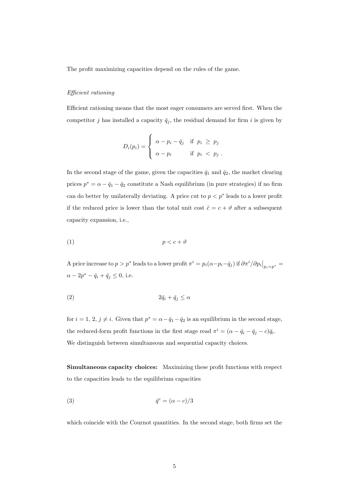The profit maximizing capacities depend on the rules of the game.

#### Efficient rationing

Efficient rationing means that the most eager consumers are served first. When the competitor j has installed a capacity  $\bar{q}_j$ , the residual demand for firm i is given by

$$
D_i(p_i) = \begin{cases} \alpha - p_i - \bar{q}_j & \text{if } p_i \geq p_j \\ \alpha - p_i & \text{if } p_i < p_j \end{cases}.
$$

In the second stage of the game, given the capacities  $\bar{q}_1$  and  $\bar{q}_2$ , the market clearing prices  $p^* = \alpha - \bar{q}_1 - \bar{q}_2$  constitute a Nash equilibrium (in pure strategies) if no firm can do better by unilaterally deviating. A price cut to  $p < p^*$  leads to a lower profit if the reduced price is lower than the total unit cost  $\tilde{c} = c + \vartheta$  after a subsequent capacity expansion, i.e.,

$$
(1) \t\t\t p < c + \vartheta
$$

A price increase to  $p > p^*$  leads to a lower profit  $\pi^i = p_i(\alpha - p_i - \bar{q}_j)$  if  $\partial \pi^i / \partial p_i \big|_{p_i = p^*} =$  $\alpha - 2p^* - \bar{q}_i + \bar{q}_j \leq 0$ , i.e.

$$
(2) \t\t 2\bar{q}_i + \bar{q}_j \le \alpha
$$

for  $i = 1, 2, j \neq i$ . Given that  $p^* = \alpha - \bar{q}_1 - \bar{q}_2$  is an equilibrium in the second stage, the reduced-form profit functions in the first stage read  $\pi^i = (\alpha - \bar{q}_i - \bar{q}_j - c)\bar{q}_i$ . We distinguish between simultaneous and sequential capacity choices.

Simultaneous capacity choices: Maximizing these profit functions with respect to the capacities leads to the equilibrium capacities

$$
\bar{q}^c = (\alpha - c)/3
$$

which coincide with the Cournot quantities. In the second stage, both firms set the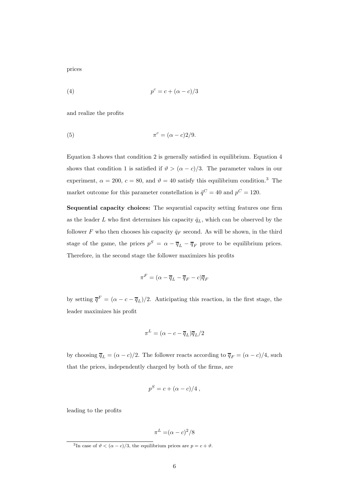prices

$$
(4) \qquad \qquad p^c = c + (\alpha - c)/3
$$

and realize the profits

$$
\pi^c = (\alpha - c)2/9.
$$

Equation 3 shows that condition 2 is generally satisfied in equilibrium. Equation 4 shows that condition 1 is satisfied if  $\vartheta > (\alpha - c)/3$ . The parameter values in our experiment,  $\alpha = 200, c = 80$ , and  $\vartheta = 40$  satisfy this equilibrium condition.<sup>3</sup> The market outcome for this parameter constellation is  $\bar{q}^C = 40$  and  $p^C = 120$ .

Sequential capacity choices: The sequential capacity setting features one firm as the leader L who first determines his capacity  $\bar{q}_L$ , which can be observed by the follower F who then chooses his capacity  $\bar{q}_F$  second. As will be shown, in the third stage of the game, the prices  $p^S = \alpha - \overline{q}_L - \overline{q}_F$  prove to be equilibrium prices. Therefore, in the second stage the follower maximizes his profits

$$
\pi^F = (\alpha - \overline{q}_L - \overline{q}_F - c)\overline{q}_F
$$

by setting  $\overline{q}^F = (\alpha - c - \overline{q}_L)/2$ . Anticipating this reaction, in the first stage, the leader maximizes his profit

$$
\pi^L = (\alpha - c - \overline{q}_L)\overline{q}_L/2
$$

by choosing  $\overline{q}_L = (\alpha - c)/2$ . The follower reacts according to  $\overline{q}_F = (\alpha - c)/4$ , such that the prices, independently charged by both of the firms, are

$$
p^S = c + (\alpha - c)/4,
$$

leading to the profits

$$
\pi^L = (\alpha - c)^2 / 8
$$

<sup>&</sup>lt;sup>3</sup>In case of  $\vartheta < (\alpha - c)/3$ , the equilibrium prices are  $p = c + \vartheta$ .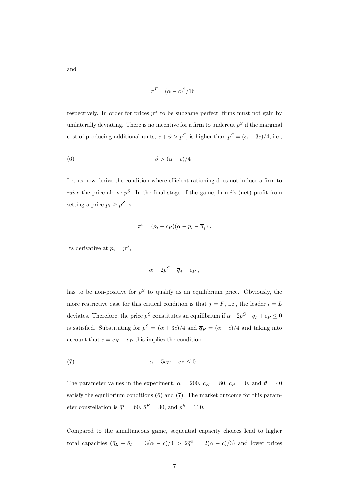$$
\pi^F = (\alpha - c)^2/16,
$$

respectively. In order for prices  $p<sup>S</sup>$  to be subgame perfect, firms must not gain by unilaterally deviating. There is no incentive for a firm to undercut  $p<sup>S</sup>$  if the marginal cost of producing additional units,  $c + \vartheta > p^S$ , is higher than  $p^S = (\alpha + 3c)/4$ , i.e.,

(6) 
$$
\vartheta > (\alpha - c)/4.
$$

Let us now derive the condition where efficient rationing does not induce a firm to *raise* the price above  $p^S$ . In the final stage of the game, firm i's (net) profit from setting a price  $p_i \geq p^S$  is

$$
\pi^i = (p_i - c_P)(\alpha - p_i - \overline{q}_j) .
$$

Its derivative at  $p_i = p^S$ ,

$$
\alpha - 2p^S - \overline{q}_j + c_P ,
$$

has to be non-positive for  $p<sup>S</sup>$  to qualify as an equilibrium price. Obviously, the more restrictive case for this critical condition is that  $j = F$ , i.e., the leader  $i = L$ deviates. Therefore, the price  $p^S$  constitutes an equilibrium if  $\alpha - 2p^S - q_F + c_P \leq 0$ is satisfied. Substituting for  $p^S = (\alpha + 3c)/4$  and  $\overline{q}_F = (\alpha - c)/4$  and taking into account that  $c = c_K + c_P$  this implies the condition

(7) 
$$
\alpha - 5c_K - c_P \leq 0.
$$

The parameter values in the experiment,  $\alpha = 200$ ,  $c_K = 80$ ,  $c_P = 0$ , and  $\vartheta = 40$ satisfy the equilibrium conditions (6) and (7). The market outcome for this parameter constellation is  $\bar{q}^L = 60$ ,  $\bar{q}^F = 30$ , and  $p^S = 110$ .

Compared to the simultaneous game, sequential capacity choices lead to higher total capacities  $(\bar{q}_L + \bar{q}_F = 3(\alpha - c)/4 > 2\bar{q}^c = 2(\alpha - c)/3)$  and lower prices

and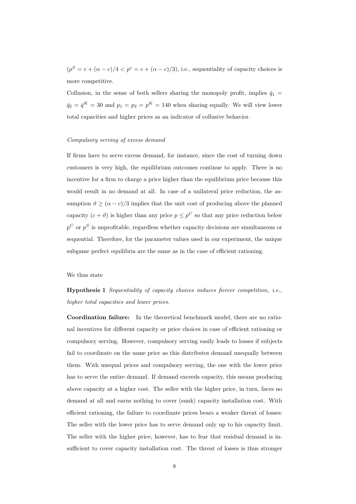$(p^{S} = c + (\alpha - c)/4 < p^{c} = c + (\alpha - c)/3)$ , i.e., sequentiality of capacity choices is more competitive.

Collusion, in the sense of both sellers sharing the monopoly profit, implies  $\bar{q}_1$  =  $\bar{q}_2 = \bar{q}^K = 30$  and  $p_1 = p_2 = p^K = 140$  when sharing equally. We will view lower total capacities and higher prices as an indicator of collusive behavior.

#### Compulsory serving of excess demand

If firms have to serve excess demand, for instance, since the cost of turning down customers is very high, the equilibrium outcomes continue to apply. There is no incentive for a firm to charge a price higher than the equilibrium price because this would result in no demand at all. In case of a unilateral price reduction, the assumption  $\vartheta \geq (\alpha - c)/3$  implies that the unit cost of producing above the planned capacity  $(c + \vartheta)$  is higher than any price  $p \leq p^C$  so that any price reduction below  $p^C$  or  $p^S$  is unprofitable, regardless whether capacity decisions are simultaneous or sequential. Therefore, for the parameter values used in our experiment, the unique subgame perfect equilibria are the same as in the case of efficient rationing.

#### We thus state

# Hypothesis 1 Sequentiality of capacity choices induces fiercer competition, i.e., higher total capacities and lower prices.

Coordination failure: In the theoretical benchmark model, there are no rational incentives for different capacity or price choices in case of efficient rationing or compulsory serving. However, compulsory serving easily leads to losses if subjects fail to coordinate on the same price as this distributes demand unequally between them. With unequal prices and compulsory serving, the one with the lower price has to serve the entire demand. If demand exceeds capacity, this means producing above capacity at a higher cost. The seller with the higher price, in turn, faces no demand at all and earns nothing to cover (sunk) capacity installation cost. With efficient rationing, the failure to coordinate prices bears a weaker threat of losses: The seller with the lower price has to serve demand only up to his capacity limit. The seller with the higher price, however, has to fear that residual demand is insufficient to cover capacity installation cost. The threat of losses is thus stronger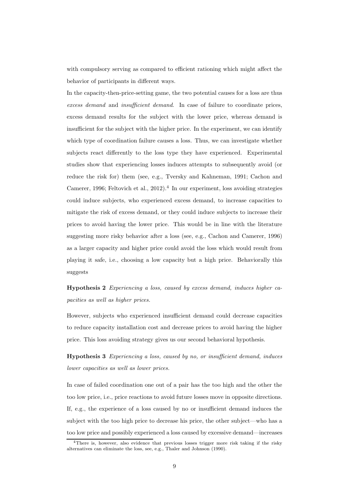with compulsory serving as compared to efficient rationing which might affect the behavior of participants in different ways.

In the capacity-then-price-setting game, the two potential causes for a loss are thus excess demand and insufficient demand. In case of failure to coordinate prices, excess demand results for the subject with the lower price, whereas demand is insufficient for the subject with the higher price. In the experiment, we can identify which type of coordination failure causes a loss. Thus, we can investigate whether subjects react differently to the loss type they have experienced. Experimental studies show that experiencing losses induces attempts to subsequently avoid (or reduce the risk for) them (see, e.g., Tversky and Kahneman, 1991; Cachon and Camerer, 1996; Feltovich et al.,  $2012$ ).<sup>4</sup> In our experiment, loss avoiding strategies could induce subjects, who experienced excess demand, to increase capacities to mitigate the risk of excess demand, or they could induce subjects to increase their prices to avoid having the lower price. This would be in line with the literature suggesting more risky behavior after a loss (see, e.g., Cachon and Camerer, 1996) as a larger capacity and higher price could avoid the loss which would result from playing it safe, i.e., choosing a low capacity but a high price. Behaviorally this suggests

Hypothesis 2 Experiencing a loss, caused by excess demand, induces higher capacities as well as higher prices.

However, subjects who experienced insufficient demand could decrease capacities to reduce capacity installation cost and decrease prices to avoid having the higher price. This loss avoiding strategy gives us our second behavioral hypothesis.

Hypothesis 3 Experiencing a loss, caused by no, or insufficient demand, induces lower capacities as well as lower prices.

In case of failed coordination one out of a pair has the too high and the other the too low price, i.e., price reactions to avoid future losses move in opposite directions. If, e.g., the experience of a loss caused by no or insufficient demand induces the subject with the too high price to decrease his price, the other subject—who has a too low price and possibly experienced a loss caused by excessive demand—increases

<sup>&</sup>lt;sup>4</sup>There is, however, also evidence that previous losses trigger more risk taking if the risky alternatives can eliminate the loss, see, e.g., Thaler and Johnson (1990).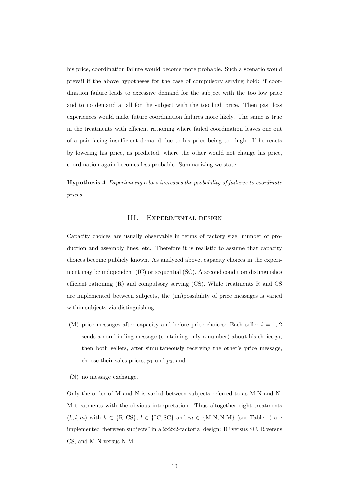his price, coordination failure would become more probable. Such a scenario would prevail if the above hypotheses for the case of compulsory serving hold: if coordination failure leads to excessive demand for the subject with the too low price and to no demand at all for the subject with the too high price. Then past loss experiences would make future coordination failures more likely. The same is true in the treatments with efficient rationing where failed coordination leaves one out of a pair facing insufficient demand due to his price being too high. If he reacts by lowering his price, as predicted, where the other would not change his price, coordination again becomes less probable. Summarizing we state

Hypothesis 4 Experiencing a loss increases the probability of failures to coordinate prices.

#### III. Experimental design

Capacity choices are usually observable in terms of factory size, number of production and assembly lines, etc. Therefore it is realistic to assume that capacity choices become publicly known. As analyzed above, capacity choices in the experiment may be independent (IC) or sequential (SC). A second condition distinguishes efficient rationing (R) and compulsory serving (CS). While treatments R and CS are implemented between subjects, the (im)possibility of price messages is varied within-subjects via distinguishing

- (M) price messages after capacity and before price choices: Each seller  $i = 1, 2$ sends a non-binding message (containing only a number) about his choice  $p_i$ , then both sellers, after simultaneously receiving the other's price message, choose their sales prices,  $p_1$  and  $p_2$ ; and
- (N) no message exchange.

Only the order of M and N is varied between subjects referred to as M-N and N-M treatments with the obvious interpretation. Thus altogether eight treatments  $(k, l, m)$  with  $k \in \{R, CS\}, l \in \{IC, SC\}$  and  $m \in \{M-N, N-M\}$  (see Table 1) are implemented "between subjects" in a 2x2x2-factorial design: IC versus SC, R versus CS, and M-N versus N-M.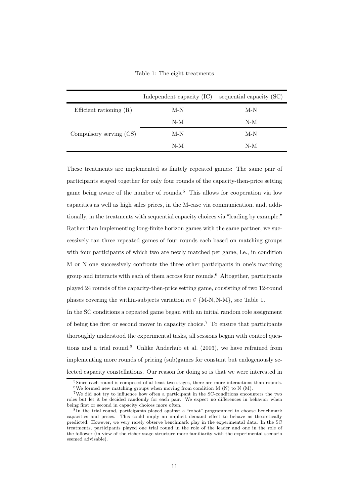Table 1: The eight treatments

|                           | Independent capacity (IC) | sequential capacity (SC) |
|---------------------------|---------------------------|--------------------------|
| Efficient rationing $(R)$ | M-N                       | M-N                      |
|                           | N-M                       | N-M                      |
| Compulsory serving (CS)   | M-N                       | M-N                      |
|                           | N-M                       | N-M                      |

These treatments are implemented as finitely repeated games: The same pair of participants stayed together for only four rounds of the capacity-then-price setting game being aware of the number of rounds.<sup>5</sup> This allows for cooperation via low capacities as well as high sales prices, in the M-case via communication, and, additionally, in the treatments with sequential capacity choices via "leading by example." Rather than implementing long-finite horizon games with the same partner, we successively ran three repeated games of four rounds each based on matching groups with four participants of which two are newly matched per game, i.e., in condition M or N one successively confronts the three other participants in one's matching group and interacts with each of them across four rounds. $6$  Altogether, participants played 24 rounds of the capacity-then-price setting game, consisting of two 12-round phases covering the within-subjects variation  $m \in \{M-N, N-M\}$ , see Table 1.

In the SC conditions a repeated game began with an initial random role assignment of being the first or second mover in capacity choice.<sup>7</sup> To ensure that participants thoroughly understood the experimental tasks, all sessions began with control questions and a trial round.<sup>8</sup> Unlike Anderhub et al.  $(2003)$ , we have refrained from implementing more rounds of pricing (sub)games for constant but endogenously selected capacity constellations. Our reason for doing so is that we were interested in

 $5Since$  each round is composed of at least two stages, there are more interactions than rounds. <sup>6</sup>We formed new matching groups when moving from condition M  $(N)$  to N  $(M)$ .

<sup>7</sup>We did not try to influence how often a participant in the SC-conditions encounters the two roles but let it be decided randomly for each pair. We expect no differences in behavior when being first or second in capacity choices more often.

<sup>8</sup> In the trial round, participants played against a "robot" programmed to choose benchmark capacities and prices. This could imply an implicit demand effect to behave as theoretically predicted. However, we very rarely observe benchmark play in the experimental data. In the SC treatments, participants played one trial round in the role of the leader and one in the role of the follower (in view of the richer stage structure more familiarity with the experimental scenario seemed advisable).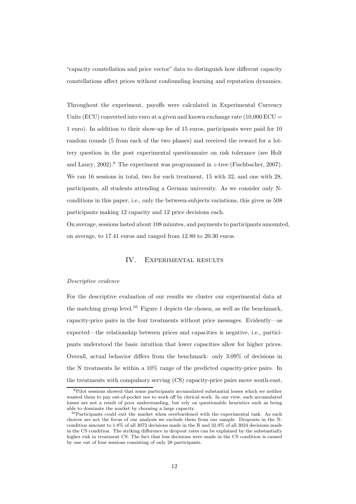"capacity constellation and price vector" data to distinguish how different capacity constellations affect prices without confounding learning and reputation dynamics.

Throughout the experiment, payoffs were calculated in Experimental Currency Units (ECU) converted into euro at a given and known exchange rate  $(10,000 \text{ ECU})$ 1 euro). In addition to their show-up fee of 15 euros, participants were paid for 10 random rounds (5 from each of the two phases) and received the reward for a lottery question in the post experimental questionnaire on risk tolerance (see Holt and Laury,  $2002$ ).<sup>9</sup> The experiment was programmed in z-tree (Fischbacher, 2007). We ran 16 sessions in total, two for each treatment, 15 with 32, and one with 28, participants, all students attending a German university. As we consider only Nconditions in this paper, i.e., only the between-subjects variations, this gives us 508 participants making 12 capacity and 12 price decisions each.

On average, sessions lasted about 108 minutes, and payments to participants amounted, on average, to 17.41 euros and ranged from 12.80 to 20.30 euros.

### IV. Experimental results

#### Descriptive evidence

For the descriptive evaluation of our results we cluster our experimental data at the matching group level.<sup>10</sup> Figure 1 depicts the chosen, as well as the benchmark, capacity-price pairs in the four treatments without price messages. Evidently—as expected—the relationship between prices and capacities is negative, i.e., participants understood the basic intuition that lower capacities allow for higher prices. Overall, actual behavior differs from the benchmark: only 3.09% of decisions in the N treatments lie within a 10% range of the predicted capacity-price pairs. In the treatments with compulsory serving (CS) capacity-price pairs move south-east,

<sup>&</sup>lt;sup>9</sup>Pilot sessions showed that some participants accumulated substantial losses which we neither wanted them to pay out-of-pocket nor to work off by clerical work. In our view, such accumulated losses are not a result of poor understanding, but rely on questionable heuristics such as being able to dominate the market by choosing a large capacity.

 $10$ Participants could exit the market when overburdened with the experimental task. As such choices are not the focus of our analysis we exclude them from our sample. Dropouts in the Ncondition amount to 1.8% of all 3072 decisions made in the R and 32.9% of all 3024 decisions made in the CS condition. The striking difference in dropout rates can be explained by the substantially higher risk in treatment CS. The fact that less decisions were made in the CS condition is caused by one out of four sessions consisting of only 28 participants.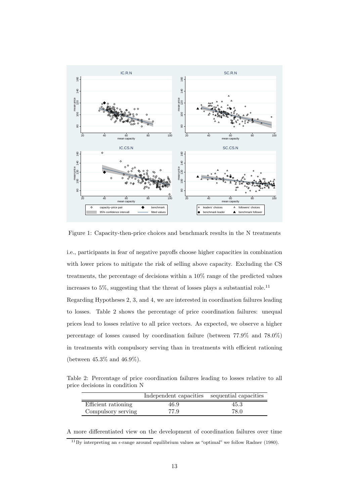

Figure 1: Capacity-then-price choices and benchmark results in the N treatments

i.e., participants in fear of negative payoffs choose higher capacities in combination with lower prices to mitigate the risk of selling above capacity. Excluding the CS treatments, the percentage of decisions within a 10% range of the predicted values increases to 5%, suggesting that the threat of losses plays a substantial role.<sup>11</sup> Regarding Hypotheses 2, 3, and 4, we are interested in coordination failures leading to losses. Table 2 shows the percentage of price coordination failures: unequal prices lead to losses relative to all price vectors. As expected, we observe a higher percentage of losses caused by coordination failure (between 77.9% and 78.0%) in treatments with compulsory serving than in treatments with efficient rationing (between 45.3% and 46.9%).

Table 2: Percentage of price coordination failures leading to losses relative to all price decisions in condition N

|                     | Independent capacities sequential capacities |      |
|---------------------|----------------------------------------------|------|
| Efficient rationing | 46.9                                         | 45.3 |
| Compulsory serving  | 77.9                                         | 78.0 |

A more differentiated view on the development of coordination failures over time

<sup>&</sup>lt;sup>11</sup>By interpreting an  $\epsilon$ -range around equilibrium values as "optimal" we follow Radner (1980).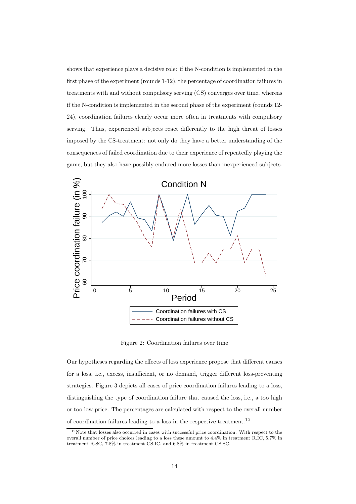shows that experience plays a decisive role: if the N-condition is implemented in the first phase of the experiment (rounds 1-12), the percentage of coordination failures in treatments with and without compulsory serving (CS) converges over time, whereas if the N-condition is implemented in the second phase of the experiment (rounds 12- 24), coordination failures clearly occur more often in treatments with compulsory serving. Thus, experienced subjects react differently to the high threat of losses imposed by the CS-treatment: not only do they have a better understanding of the consequences of failed coordination due to their experience of repeatedly playing the game, but they also have possibly endured more losses than inexperienced subjects.



Figure 2: Coordination failures over time

Our hypotheses regarding the effects of loss experience propose that different causes for a loss, i.e., excess, insufficient, or no demand, trigger different loss-preventing strategies. Figure 3 depicts all cases of price coordination failures leading to a loss, distinguishing the type of coordination failure that caused the loss, i.e., a too high or too low price. The percentages are calculated with respect to the overall number of coordination failures leading to a loss in the respective treatment. 12

<sup>&</sup>lt;sup>12</sup>Note that losses also occurred in cases with successful price coordination. With respect to the overall number of price choices leading to a loss these amount to 4.4% in treatment R.IC, 5.7% in treatment R.SC, 7.8% in treatment CS.IC, and 6.8% in treatment CS.SC.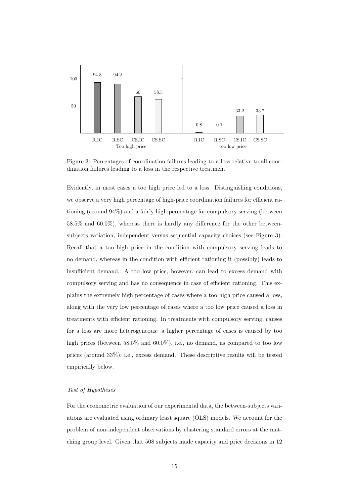

Figure 3: Percentages of coordination failures leading to a loss relative to all coordination failures leading to a loss in the respective treatment

Evidently, in most cases a too high price led to a loss. Distinguishing conditions, we observe a very high percentage of high-price coordination failures for efficient rationing (around 94%) and a fairly high percentage for compulsory serving (between 58.5% and 60.0%), whereas there is hardly any difference for the other betweensubjects variation, independent versus sequential capacity choices (see Figure 3). Recall that a too high price in the condition with compulsory serving leads to no demand, whereas in the condition with efficient rationing it (possibly) leads to insufficient demand. A too low price, however, can lead to excess demand with compulsory serving and has no consequence in case of efficient rationing. This explains the extremely high percentage of cases where a too high price caused a loss, along with the very low percentage of cases where a too low price caused a loss in treatments with efficient rationing. In treatments with compulsory serving, causes for a loss are more heterogeneous: a higher percentage of cases is caused by too high prices (between 58.5% and 60.0%), i.e., no demand, as compared to too low prices (around 33%), i.e., excess demand. These descriptive results will be tested empirically below.

# Test of Hypotheses

For the econometric evaluation of our experimental data, the between-subjects variations are evaluated using ordinary least square (OLS) models. We account for the problem of non-independent observations by clustering standard errors at the matching group level. Given that 508 subjects made capacity and price decisions in 12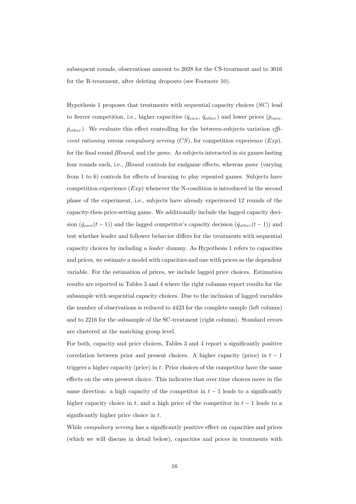subsequent rounds, observations amount to 2028 for the CS-treatment and to 3016 for the R-treatment, after deleting dropouts (see Footnote 10).

Hypothesis 1 proposes that treatments with sequential capacity choices  $(SC)$  lead to fiercer competition, i.e., higher capacities  $(\bar{q}_{own}, \bar{q}_{other})$  and lower prices  $(\bar{p}_{own}, \bar{q}_{other})$  $\bar{p}_{other}$ ). We evaluate this effect controlling for the between-subjects variation efficient rationing versus compulsory serving  $(CS)$ , for competition experience  $(Exp)$ , for the final round fRound, and the game. As subjects interacted in six games lasting four rounds each, i.e., fRound controls for endgame effects, whereas game (varying from 1 to 6) controls for effects of learning to play repeated games. Subjects have competition experience  $(Exp)$  whenever the N-condition is introduced in the second phase of the experiment, i.e., subjects have already experienced 12 rounds of the capacity-then-price-setting game. We additionally include the lagged capacity decision  $(\bar{q}_{own}(t-1))$  and the lagged competitor's capacity decision  $(\bar{q}_{other}(t-1))$  and test whether leader and follower behavior differs for the treatments with sequential capacity choices by including a leader dummy. As Hypothesis 1 refers to capacities and prices, we estimate a model with capacities and one with prices as the dependent variable. For the estimation of prices, we include lagged price choices. Estimation results are reported in Tables 3 and 4 where the right columns report results for the subsample with sequential capacity choices. Due to the inclusion of lagged variables the number of observations is reduced to 4423 for the complete sample (left column) and to 2216 for the subsample of the SC-treatment (right column). Standard errors are clustered at the matching group level.

For both, capacity and price choices, Tables 3 and 4 report a significantly positive correlation between prior and present choices. A higher capacity (price) in  $t - 1$ triggers a higher capacity (price) in t. Prior choices of the competitor have the same effects on the own present choice. This indicates that over time choices move in the same direction: a high capacity of the competitor in  $t-1$  leads to a significantly higher capacity choice in t, and a high price of the competitor in  $t - 1$  leads to a significantly higher price choice in t.

While *compulsory serving* has a significantly positive effect on capacities and prices (which we will discuss in detail below), capacities and prices in treatments with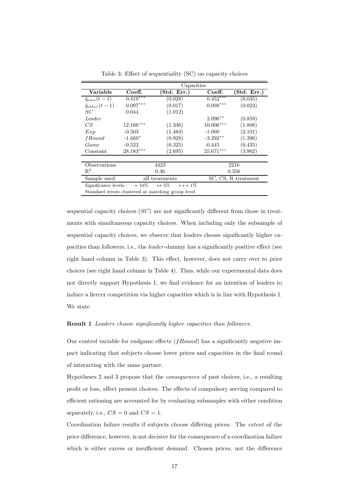|                                                   | Capacities     |                       |             |                                    |  |
|---------------------------------------------------|----------------|-----------------------|-------------|------------------------------------|--|
| $\overline{\text{Variable}}$                      | Coeff.         | (Std. Err.)           | Coeff.      | $(\mathrm{Std.} \; \mathrm{Err.})$ |  |
| $\bar{q}_{own}(t-1)$                              | $0.419***$     | (0.028)               | $0.452***$  | (0.035)                            |  |
| $\bar{q}_{other}(t-1)$                            | $0.097***$     | (0.017)               | $0.098***$  | (0.023)                            |  |
| SC                                                | 0.044          | (1.012)               |             |                                    |  |
| Leader                                            |                |                       | $2.096**$   | (0.859)                            |  |
| CS                                                | $12.166***$    | (1.336)               | $10.006***$ | (1.808)                            |  |
| Exp                                               | $-0.503$       | (1.483)               | $-1.060$    | (2.101)                            |  |
| f Round                                           | $-1.660*$      | (0.928)               | $-3.292**$  | (1.396)                            |  |
| Game                                              | $-0.522$       | (0.325)               | $-0.445$    | (0.435)                            |  |
| Constant                                          | $28.183***$    | (2.695)               | $25.671***$ | (3.962)                            |  |
|                                                   |                |                       |             |                                    |  |
| Observations                                      |                | 4423                  |             | 2216                               |  |
| $R^2$                                             | 0.36           |                       | 0.356       |                                    |  |
| Sample used                                       | all treatments |                       |             | SC, CS, R treatment                |  |
| Significance levels :                             | $*10\%$        | $** 5\%$<br>*** $1\%$ |             |                                    |  |
| Standard errors clustered at matching group level |                |                       |             |                                    |  |

Table 3: Effect of sequentiality (SC) on capacity choices

sequential capacity choices  $(SC)$  are not significantly different from those in treatments with simultaneous capacity choices. When including only the subsample of sequential capacity choices, we observe that leaders choose significantly higher capacities than followers, i.e., the leader -dummy has a significantly positive effect (see right hand column in Table 3). This effect, however, does not carry over to price choices (see right hand column in Table 4). Thus, while our experimental data does not directly support Hypothesis 1, we find evidence for an intention of leaders to induce a fiercer competition via higher capacities which is in line with Hypothesis 1. We state

#### Result 1 Leaders choose significantly higher capacities than followers.

Our control variable for endgame effects  $(fRound)$  has a significantly negative impact indicating that subjects choose lower prices and capacities in the final round of interacting with the same partner.

Hypotheses 2 and 3 propose that the consequences of past choices, i.e., a resulting profit or loss, affect present choices. The effects of compulsory serving compared to efficient rationing are accounted for by evaluating subsamples with either condition separately, i.e.,  $CS = 0$  and  $CS = 1$ .

Coordination failure results if subjects choose differing prices. The extent of the price difference, however, is not decisive for the consequence of a coordination failure which is either excess or insufficient demand. Chosen prices, not the difference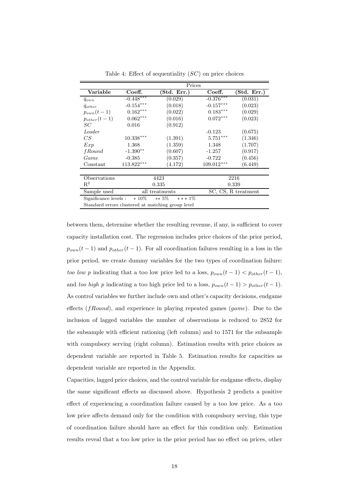|                                                           | Prices                 |             |              |                                    |  |
|-----------------------------------------------------------|------------------------|-------------|--------------|------------------------------------|--|
| Variable                                                  | Coeff.                 | (Std. Err.) | Coeff.       | $(\mathrm{Std.} \; \mathrm{Err.})$ |  |
| $\bar{q}_{own}$                                           | $-0.448***$            | (0.029)     | $-0.376***$  | (0.031)                            |  |
| $\bar{q}_{other}$                                         | $-0.154***$            | (0.018)     | $-0.157***$  | (0.023)                            |  |
| $p_{own}(t-1)$                                            | $0.162^{\ast\ast\ast}$ | (0.022)     | $0.183***$   | (0.029)                            |  |
| $p_{other}(t-1)$                                          | $0.062^{\ast\ast\ast}$ | (0.016)     | $0.072***$   | (0.023)                            |  |
| SC                                                        | 0.016                  | (0.912)     |              |                                    |  |
| Leader                                                    |                        |             | $-0.123$     | (0.675)                            |  |
| CS                                                        | $10.338***$            | (1.391)     | $5.751***$   | (1.346)                            |  |
| Exp                                                       | 1.368                  | (1.359)     | 1.348        | (1.707)                            |  |
| <i>fRound</i>                                             | $-1.390**$             | (0.607)     | $-1.257$     | (0.917)                            |  |
| Game                                                      | $-0.385$               | (0.357)     | $-0.722$     | (0.456)                            |  |
| Constant                                                  | $113.822***$           | (4.172)     | $109.012***$ | (6.449)                            |  |
|                                                           |                        |             |              |                                    |  |
| Observations                                              |                        | 4423        |              | 2216                               |  |
| $\mathrm{R}^2$                                            | 0.335                  |             | 0.339        |                                    |  |
| Sample used                                               | all treatments         |             |              | SC, CS, R treatment                |  |
| Significance levels :<br>$*10\%$<br>$** 5\%$<br>*** $1\%$ |                        |             |              |                                    |  |
| .                                                         |                        |             |              |                                    |  |

Table 4: Effect of sequentiality  $(SC)$  on price choices

Standard errors clustered at matching group level

between them, determine whether the resulting revenue, if any, is sufficient to cover capacity installation cost. The regression includes price choices of the prior period,  $p_{own}(t-1)$  and  $p_{other}(t-1)$ . For all coordination failures resulting in a loss in the prior period, we create dummy variables for the two types of coordination failure: too low p indicating that a too low price led to a loss,  $p_{own}(t-1) < p_{other}(t-1)$ , and too high p indicating a too high price led to a loss,  $p_{own}(t-1) > p_{other}(t-1)$ . As control variables we further include own and other's capacity decisions, endgame effects  $(fRound)$ , and experience in playing repeated games  $(game)$ . Due to the inclusion of lagged variables the number of observations is reduced to 2852 for the subsample with efficient rationing (left column) and to 1571 for the subsample with compulsory serving (right column). Estimation results with price choices as dependent variable are reported in Table 5. Estimation results for capacities as dependent variable are reported in the Appendix.

Capacities, lagged price choices, and the control variable for endgame effects, display the same significant effects as discussed above. Hypothesis 2 predicts a positive effect of experiencing a coordination failure caused by a too low price. As a too low price affects demand only for the condition with compulsory serving, this type of coordination failure should have an effect for this condition only. Estimation results reveal that a too low price in the prior period has no effect on prices, other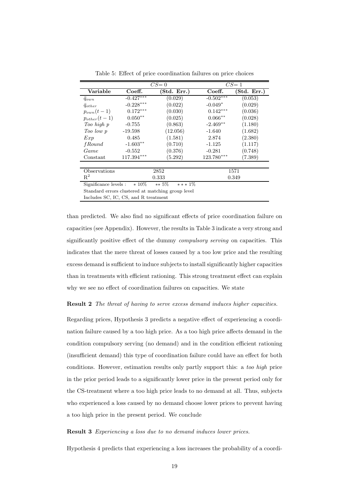|                                                              | $CS=0$                 |            | $CS=1$       |            |
|--------------------------------------------------------------|------------------------|------------|--------------|------------|
| Variable                                                     | Coeff.                 | Std. Err.) | Coeff.       | Std. Err.) |
| $\bar{q}_{own}$                                              | $-0.427***$            | (0.029)    | $-0.502***$  | (0.053)    |
| $q_{other}$                                                  | $-0.228***$            | (0.022)    | $-0.049*$    | (0.029)    |
| $p_{own}(t-1)$                                               | $0.172^{\ast\ast\ast}$ | (0.030)    | $0.142***$   | (0.036)    |
| $p_{other}(t-1)$                                             | $0.050^{\ast\ast}$     | (0.025)    | $0.066***$   | (0.028)    |
| Too high p                                                   | $-0.755$               | (0.863)    | $-2.469**$   | (1.180)    |
| Too low p                                                    | $-19.598$              | (12.056)   | $-1.640$     | (1.682)    |
| Exp                                                          | 0.485                  | (1.581)    | 2.874        | (2.380)    |
| <i>fRound</i>                                                | $-1.603**$             | (0.710)    | $-1.125$     | (1.117)    |
| Game                                                         | $-0.552$               | (0.376)    | $-0.281$     | (0.748)    |
| Constant                                                     | 117.394***             | (5.292)    | $123.780***$ | (7.389)    |
|                                                              |                        |            |              |            |
| Observations                                                 | 2852                   |            | 1571         |            |
| $\mathrm{R}^2$                                               | 0.333                  |            | 0.349        |            |
| $\sim$ 100 $\tau$<br>$\sim$ 0 $\sim$<br>$\sim$ $\sim$ $\sim$ |                        |            |              |            |

Table 5: Effect of price coordination failures on price choices

Significance levels :  $*10\%$  \*\* 5% \*\*\* 1%

Standard errors clustered at matching group level

Includes SC, IC, CS, and R treatment

than predicted. We also find no significant effects of price coordination failure on capacities (see Appendix). However, the results in Table 3 indicate a very strong and significantly positive effect of the dummy compulsory serving on capacities. This indicates that the mere threat of losses caused by a too low price and the resulting excess demand is sufficient to induce subjects to install significantly higher capacities than in treatments with efficient rationing. This strong treatment effect can explain why we see no effect of coordination failures on capacities. We state

Result 2 The threat of having to serve excess demand induces higher capacities.

Regarding prices, Hypothesis 3 predicts a negative effect of experiencing a coordination failure caused by a too high price. As a too high price affects demand in the condition compulsory serving (no demand) and in the condition efficient rationing (insufficient demand) this type of coordination failure could have an effect for both conditions. However, estimation results only partly support this: a too high price in the prior period leads to a significantly lower price in the present period only for the CS-treatment where a too high price leads to no demand at all. Thus, subjects who experienced a loss caused by no demand choose lower prices to prevent having a too high price in the present period. We conclude

#### Result 3 Experiencing a loss due to no demand induces lower prices.

Hypothesis 4 predicts that experiencing a loss increases the probability of a coordi-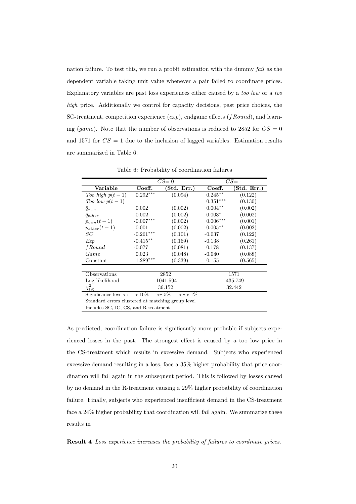nation failure. To test this, we run a probit estimation with the dummy fail as the dependent variable taking unit value whenever a pair failed to coordinate prices. Explanatory variables are past loss experiences either caused by a too low or a too high price. Additionally we control for capacity decisions, past price choices, the SC-treatment, competition experience  $(exp)$ , endgame effects  $(fRound)$ , and learning (game). Note that the number of observations is reduced to 2852 for  $CS = 0$ and 1571 for  $CS = 1$  due to the inclusion of lagged variables. Estimation results are summarized in Table 6.

|                                                   | $CS=0$      |                      | $CS=1$     |             |  |
|---------------------------------------------------|-------------|----------------------|------------|-------------|--|
| Variable                                          | Coeff.      | (Std. Err.)          | Coeff.     | (Std. Err.) |  |
| Too high $p(t-1)$                                 | $0.292***$  | (0.094)              | $0.245***$ | (0.122)     |  |
| Too low $p(t-1)$                                  |             |                      | $0.351***$ | (0.130)     |  |
| $\bar{q}_{own}$                                   | 0.002       | (0.002)              | $0.004**$  | (0.002)     |  |
| $\bar{q}_{other}$                                 | 0.002       | (0.002)              | $0.003*$   | (0.002)     |  |
| $p_{own}(t-1)$                                    | $-0.007***$ | (0.002)              | $0.006***$ | (0.001)     |  |
| $p_{other}(t-1)$                                  | 0.001       | (0.002)              | $0.005***$ | (0.002)     |  |
| SС                                                | $-0.261***$ | (0.101)              | $-0.037$   | (0.122)     |  |
| Exp                                               | $-0.415***$ | (0.169)              | $-0.138$   | (0.261)     |  |
| <i>fRound</i>                                     | $-0.077$    | (0.081)              | 0.178      | (0.137)     |  |
| Game                                              | 0.023       | (0.048)              | $-0.040$   | (0.088)     |  |
| Constant                                          | $1.289***$  | (0.339)              | $-0.155$   | (0.565)     |  |
|                                                   |             |                      |            |             |  |
| Observations                                      |             | 2852                 |            | 1571        |  |
| Log-likelihood                                    |             | $-1041.594$          |            | -435.749    |  |
| $\chi^2_{(9)}$                                    | 36.152      |                      |            | 32.442      |  |
| Significance levels :                             | $*10\%$     | $** 5\%$<br>$***1\%$ |            |             |  |
| Standard errors clustered at matching group level |             |                      |            |             |  |
| Includes SC, IC, CS, and R treatment              |             |                      |            |             |  |

Table 6: Probability of coordination failures

As predicted, coordination failure is significantly more probable if subjects experienced losses in the past. The strongest effect is caused by a too low price in the CS-treatment which results in excessive demand. Subjects who experienced excessive demand resulting in a loss, face a 35% higher probability that price coordination will fail again in the subsequent period. This is followed by losses caused by no demand in the R-treatment causing a 29% higher probability of coordination failure. Finally, subjects who experienced insufficient demand in the CS-treatment face a 24% higher probability that coordination will fail again. We summarize these results in

Result 4 Loss experience increases the probability of failures to coordinate prices.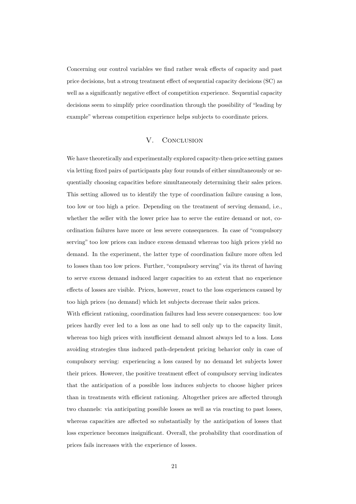Concerning our control variables we find rather weak effects of capacity and past price decisions, but a strong treatment effect of sequential capacity decisions (SC) as well as a significantly negative effect of competition experience. Sequential capacity decisions seem to simplify price coordination through the possibility of "leading by example" whereas competition experience helps subjects to coordinate prices.

# V. CONCLUSION

We have theoretically and experimentally explored capacity-then-price setting games via letting fixed pairs of participants play four rounds of either simultaneously or sequentially choosing capacities before simultaneously determining their sales prices. This setting allowed us to identify the type of coordination failure causing a loss, too low or too high a price. Depending on the treatment of serving demand, i.e., whether the seller with the lower price has to serve the entire demand or not, coordination failures have more or less severe consequences. In case of "compulsory serving" too low prices can induce excess demand whereas too high prices yield no demand. In the experiment, the latter type of coordination failure more often led to losses than too low prices. Further, "compulsory serving" via its threat of having to serve excess demand induced larger capacities to an extent that no experience effects of losses are visible. Prices, however, react to the loss experiences caused by too high prices (no demand) which let subjects decrease their sales prices.

With efficient rationing, coordination failures had less severe consequences: too low prices hardly ever led to a loss as one had to sell only up to the capacity limit, whereas too high prices with insufficient demand almost always led to a loss. Loss avoiding strategies thus induced path-dependent pricing behavior only in case of compulsory serving: experiencing a loss caused by no demand let subjects lower their prices. However, the positive treatment effect of compulsory serving indicates that the anticipation of a possible loss induces subjects to choose higher prices than in treatments with efficient rationing. Altogether prices are affected through two channels: via anticipating possible losses as well as via reacting to past losses, whereas capacities are affected so substantially by the anticipation of losses that loss experience becomes insignificant. Overall, the probability that coordination of prices fails increases with the experience of losses.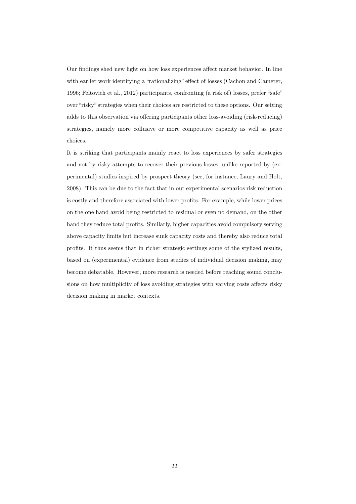Our findings shed new light on how loss experiences affect market behavior. In line with earlier work identifying a "rationalizing" effect of losses (Cachon and Camerer, 1996; Feltovich et al., 2012) participants, confronting (a risk of) losses, prefer "safe" over "risky" strategies when their choices are restricted to these options. Our setting adds to this observation via offering participants other loss-avoiding (risk-reducing) strategies, namely more collusive or more competitive capacity as well as price choices.

It is striking that participants mainly react to loss experiences by safer strategies and not by risky attempts to recover their previous losses, unlike reported by (experimental) studies inspired by prospect theory (see, for instance, Laury and Holt, 2008). This can be due to the fact that in our experimental scenarios risk reduction is costly and therefore associated with lower profits. For example, while lower prices on the one hand avoid being restricted to residual or even no demand, on the other hand they reduce total profits. Similarly, higher capacities avoid compulsory serving above capacity limits but increase sunk capacity costs and thereby also reduce total profits. It thus seems that in richer strategic settings some of the stylized results, based on (experimental) evidence from studies of individual decision making, may become debatable. However, more research is needed before reaching sound conclusions on how multiplicity of loss avoiding strategies with varying costs affects risky decision making in market contexts.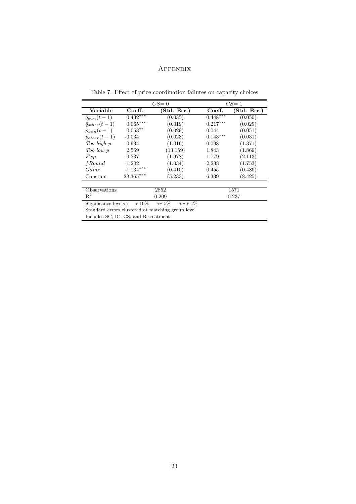# Appendix

Table 7: Effect of price coordination failures on capacity choices

|                                                          | $CS=0$                                            |             | $CS=1$     |             |  |
|----------------------------------------------------------|---------------------------------------------------|-------------|------------|-------------|--|
| Variable                                                 | Coeff.                                            | (Std. Err.) | Coeff.     | (Std. Err.) |  |
| $\bar{q}_{own}(t-1)$                                     | $0.432***$                                        | (0.035)     | $0.448***$ | (0.050)     |  |
| $\bar{q}_{other}(t-1)$                                   | $0.065***$                                        | (0.019)     | $0.217***$ | (0.029)     |  |
| $p_{own}(t-1)$                                           | $0.068**$                                         | (0.029)     | 0.044      | (0.051)     |  |
| $p_{other}(t-1)$                                         | $-0.034$                                          | (0.023)     | $0.143***$ | (0.031)     |  |
| Too high p                                               | $-0.934$                                          | (1.016)     | 0.098      | (1.371)     |  |
| Too low p                                                | 2.569                                             | (13.159)    | 1.843      | (1.869)     |  |
| Exp                                                      | $-0.237$                                          | (1.978)     | $-1.779$   | (2.113)     |  |
| fRound                                                   | $-1.202$                                          | (1.034)     | $-2.238$   | (1.753)     |  |
| Game                                                     | $-1.134***$                                       | (0.410)     | 0.455      | (0.486)     |  |
| Constant                                                 | $28.365***$                                       | (5.233)     | 6.339      | (8.425)     |  |
|                                                          |                                                   |             |            |             |  |
| Observations                                             | 2852                                              |             | 1571       |             |  |
| $\mathbb{R}^2$                                           | 0.209                                             |             | 0.237      |             |  |
| $*10\%$<br>$** 5\%$<br>$***1\%$<br>Significance levels : |                                                   |             |            |             |  |
|                                                          | Standard errors clustered at matching group level |             |            |             |  |

Includes SC, IC, CS, and R treatment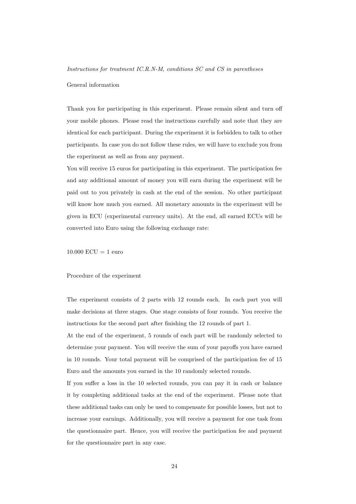Instructions for treatment IC.R.N-M, conditions SC and CS in parentheses

#### General information

Thank you for participating in this experiment. Please remain silent and turn off your mobile phones. Please read the instructions carefully and note that they are identical for each participant. During the experiment it is forbidden to talk to other participants. In case you do not follow these rules, we will have to exclude you from the experiment as well as from any payment.

You will receive 15 euros for participating in this experiment. The participation fee and any additional amount of money you will earn during the experiment will be paid out to you privately in cash at the end of the session. No other participant will know how much you earned. All monetary amounts in the experiment will be given in ECU (experimental currency units). At the end, all earned ECUs will be converted into Euro using the following exchange rate:

 $10.000$  ECU = 1 euro

Procedure of the experiment

The experiment consists of 2 parts with 12 rounds each. In each part you will make decisions at three stages. One stage consists of four rounds. You receive the instructions for the second part after finishing the 12 rounds of part 1.

At the end of the experiment, 5 rounds of each part will be randomly selected to determine your payment. You will receive the sum of your payoffs you have earned in 10 rounds. Your total payment will be comprised of the participation fee of 15 Euro and the amounts you earned in the 10 randomly selected rounds.

If you suffer a loss in the 10 selected rounds, you can pay it in cash or balance it by completing additional tasks at the end of the experiment. Please note that these additional tasks can only be used to compensate for possible losses, but not to increase your earnings. Additionally, you will receive a payment for one task from the questionnaire part. Hence, you will receive the participation fee and payment for the questionnaire part in any case.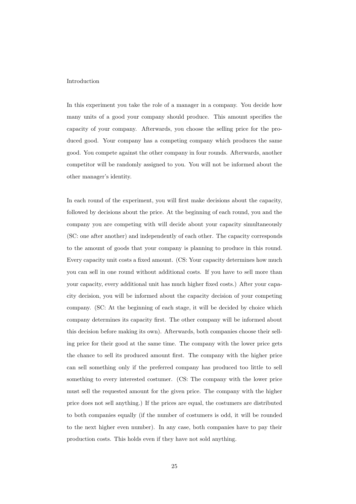#### Introduction

In this experiment you take the role of a manager in a company. You decide how many units of a good your company should produce. This amount specifies the capacity of your company. Afterwards, you choose the selling price for the produced good. Your company has a competing company which produces the same good. You compete against the other company in four rounds. Afterwards, another competitor will be randomly assigned to you. You will not be informed about the other manager's identity.

In each round of the experiment, you will first make decisions about the capacity, followed by decisions about the price. At the beginning of each round, you and the company you are competing with will decide about your capacity simultaneously (SC: one after another) and independently of each other. The capacity corresponds to the amount of goods that your company is planning to produce in this round. Every capacity unit costs a fixed amount. (CS: Your capacity determines how much you can sell in one round without additional costs. If you have to sell more than your capacity, every additional unit has much higher fixed costs.) After your capacity decision, you will be informed about the capacity decision of your competing company. (SC: At the beginning of each stage, it will be decided by choice which company determines its capacity first. The other company will be informed about this decision before making its own). Afterwards, both companies choose their selling price for their good at the same time. The company with the lower price gets the chance to sell its produced amount first. The company with the higher price can sell something only if the preferred company has produced too little to sell something to every interested costumer. (CS: The company with the lower price must sell the requested amount for the given price. The company with the higher price does not sell anything.) If the prices are equal, the costumers are distributed to both companies equally (if the number of costumers is odd, it will be rounded to the next higher even number). In any case, both companies have to pay their production costs. This holds even if they have not sold anything.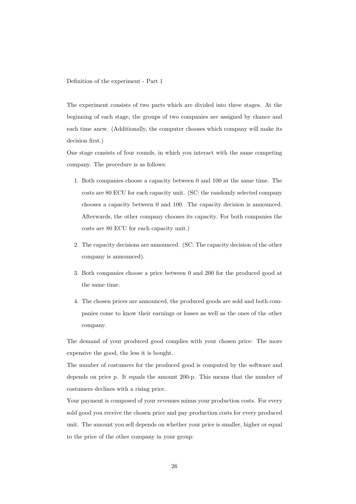Definition of the experiment - Part 1

The experiment consists of two parts which are divided into three stages. At the beginning of each stage, the groups of two companies are assigned by chance and each time anew. (Additionally, the computer chooses which company will make its decision first.)

One stage consists of four rounds, in which you interact with the same competing company. The procedure is as follows:

- 1. Both companies choose a capacity between 0 and 100 at the same time. The costs are 80 ECU for each capacity unit. (SC: the randomly selected company chooses a capacity between 0 and 100. The capacity decision is announced. Afterwards, the other company chooses its capacity. For both companies the costs are 80 ECU for each capacity unit.)
- 2. The capacity decisions are announced. (SC: The capacity decision of the other company is announced).
- 3. Both companies choose a price between 0 and 200 for the produced good at the same time.
- 4. The chosen prices are announced, the produced goods are sold and both companies come to know their earnings or losses as well as the ones of the other company.

The demand of your produced good complies with your chosen price: The more expensive the good, the less it is bought.

The number of costumers for the produced good is computed by the software and depends on price p. It equals the amount 200-p. This means that the number of costumers declines with a rising price.

Your payment is composed of your revenues minus your production costs. For every sold good you receive the chosen price and pay production costs for every produced unit. The amount you sell depends on whether your price is smaller, higher or equal to the price of the other company in your group: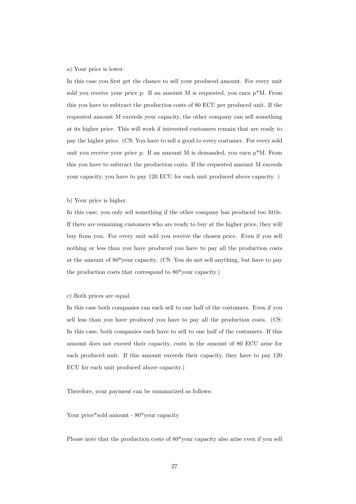## a) Your price is lower.

In this case you first get the chance to sell your produced amount. For every unit sold you receive your price p. If an amount M is requested, you earn  $p^*M$ . From this you have to subtract the production costs of 80 ECU per produced unit. If the requested amount M exceeds your capacity, the other company can sell something at its higher price. This will work if interested customers remain that are ready to pay the higher price. (CS: You have to sell a good to every costumer. For every sold unit you receive your price p. If an amount M is demanded, you earn  $p^*M$ . From this you have to subtract the production costs. If the requested amount M exceeds your capacity, you have to pay 120 ECU for each unit produced above capacity. )

## b) Your price is higher.

In this case, you only sell something if the other company has produced too little. If there are remaining customers who are ready to buy at the higher price, they will buy from you. For every unit sold you receive the chosen price. Even if you sell nothing or less than you have produced you have to pay all the production costs at the amount of 80\*your capacity. (CS: You do not sell anything, but have to pay the production costs that correspond to 80\*your capacity.)

#### c) Both prices are equal.

In this case both companies can each sell to one half of the costumers. Even if you sell less than you have produced you have to pay all the production costs. (CS: In this case, both companies each have to sell to one half of the costumers. If this amount does not exceed their capacity, costs in the amount of 80 ECU arise for each produced unit. If this amount exceeds their capacity, they have to pay 120 ECU for each unit produced above capacity.)

Therefore, your payment can be summarized as follows:

Your price\*sold amount -  $80*$ your capacity

Please note that the production costs of 80\*your capacity also arise even if you sell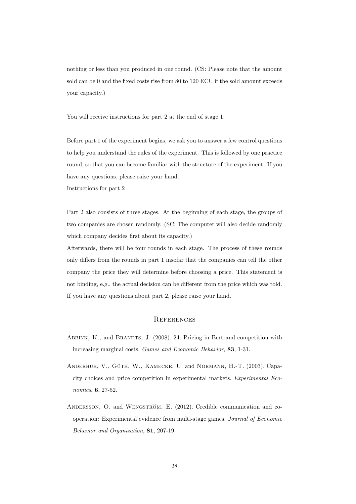nothing or less than you produced in one round. (CS: Please note that the amount sold can be 0 and the fixed costs rise from 80 to 120 ECU if the sold amount exceeds your capacity.)

You will receive instructions for part 2 at the end of stage 1.

Before part 1 of the experiment begins, we ask you to answer a few control questions to help you understand the rules of the experiment. This is followed by one practice round, so that you can become familiar with the structure of the experiment. If you have any questions, please raise your hand.

Instructions for part 2

Part 2 also consists of three stages. At the beginning of each stage, the groups of two companies are chosen randomly. (SC: The computer will also decide randomly which company decides first about its capacity.)

Afterwards, there will be four rounds in each stage. The process of these rounds only differs from the rounds in part 1 insofar that the companies can tell the other company the price they will determine before choosing a price. This statement is not binding, e.g., the actual decision can be different from the price which was told. If you have any questions about part 2, please raise your hand.

## **REFERENCES**

- ABBINK, K., and BRANDTS, J. (2008). 24. Pricing in Bertrand competition with increasing marginal costs. Games and Economic Behavior, 83, 1-31.
- ANDERHUB, V., GÜTH, W., KAMECKE, U. and NORMANN, H.-T. (2003). Capacity choices and price competition in experimental markets. Experimental Economics, 6, 27-52.
- ANDERSSON, O. and WENGSTRÖM, E. (2012). Credible communication and cooperation: Experimental evidence from multi-stage games. Journal of Economic Behavior and Organization, 81, 207-19.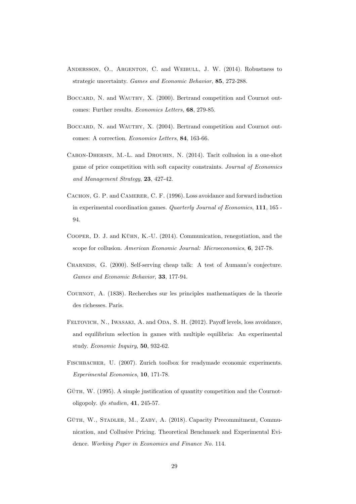- ANDERSSON, O., ARGENTON, C. and WEIBULL, J. W. (2014). Robustness to strategic uncertainty. Games and Economic Behavior, 85, 272-288.
- BOCCARD, N. and WAUTHY, X. (2000). Bertrand competition and Cournot outcomes: Further results. Economics Letters, 68, 279-85.
- BOCCARD, N. and WAUTHY, X. (2004). Bertrand competition and Cournot outcomes: A correction. Economics Letters, 84, 163-66.
- CABON-DHERSIN, M.-L. and DROUHIN, N. (2014). Tacit collusion in a one-shot game of price competition with soft capacity constraints. Journal of Economics and Management Strategy, 23, 427-42.
- CACHON, G. P. and CAMERER, C. F. (1996). Loss avoidance and forward induction in experimental coordination games. Quarterly Journal of Economics, 111, 165 - 94.
- COOPER, D. J. and KÜHN, K.-U.  $(2014)$ . Communication, renegotiation, and the scope for collusion. American Economic Journal: Microeconomics, 6, 247-78.
- Charness, G. (2000). Self-serving cheap talk: A test of Aumann's conjecture. Games and Economic Behavior, 33, 177-94.
- Cournot, A. (1838). Recherches sur les principles mathematiques de la theorie des richesses. Paris.
- FELTOVICH, N., IWASAKI, A. and ODA, S. H. (2012). Payoff levels, loss avoidance, and equilibrium selection in games with multiple equilibria: An experimental study. Economic Inquiry, 50, 932-62.
- FISCHBACHER, U. (2007). Zurich toolbox for readymade economic experiments. Experimental Economics, 10, 171-78.
- $G$ UTH, W.  $(1995)$ . A simple justification of quantity competition and the Cournotoligopoly. ifo studien, 41, 245-57.
- GÜTH, W., STADLER, M., ZABY, A. (2018). Capacity Precommitment, Communication, and Collusive Pricing. Theoretical Benchmark and Experimental Evidence. Working Paper in Economics and Finance No. 114.